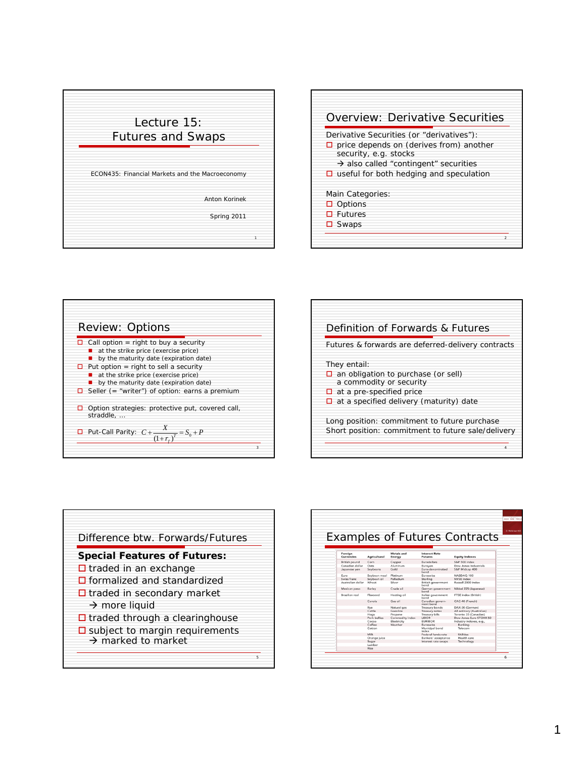





|                                 | Definition of Forwards & Futures                          |
|---------------------------------|-----------------------------------------------------------|
|                                 | Futures & forwards are <i>deferred-delivery contracts</i> |
| They entail:                    |                                                           |
| a commodity or security         | $\Box$ an obligation to purchase (or sell)                |
| $\Box$ at a pre-specified price |                                                           |
|                                 | $\Box$ at a specified delivery (maturity) date            |
|                                 | Long position: commitment to future purchase              |
|                                 | Short position: commitment to future sale/delivery        |



| <b>Examples of Futures Contracts</b> |                     |                      |                                        |                           |  |  |  |
|--------------------------------------|---------------------|----------------------|----------------------------------------|---------------------------|--|--|--|
|                                      |                     |                      |                                        |                           |  |  |  |
| Foreian<br><b>Currencies</b>         | <b>Agricultural</b> | Metals and<br>Energy | <b>Interest Rate</b><br><b>Futures</b> | <b>Equity Indexes</b>     |  |  |  |
| <b>British pound</b>                 | Corn                | Copper               | <b>Furodollars</b>                     | S&P 500 index             |  |  |  |
| Canadian dollar                      | Oats                | Aluminum             | Euroven                                | Dow Jones Industrials     |  |  |  |
| Japanese ven                         | Soybeans            | Gold                 | Euro-denominated<br>bond               | S&P Midcap 400            |  |  |  |
| Euro                                 | Soybean meal        | Platinum             | Euroswiss                              | NASDAO 100                |  |  |  |
| Swiss franc                          | Soybean oil         | Palladium            | Sterling                               | NYSE index                |  |  |  |
| Australian dollar                    | Wheat               | Silver               | British government<br>bond             | Russell 2000 index        |  |  |  |
| Mexican peso                         | Barley              | Crude oil            | German government<br>bond              | Nikkel 225 (Japanese)     |  |  |  |
| Brazilian real                       | Flaxsood            | Heating oil          | Italian government<br>hond             | FTSE index (British)      |  |  |  |
|                                      | Canola              | Gas oil              | Canadian govern-<br>ment bond          | CAC-40 (French)           |  |  |  |
|                                      | Rye                 | Natural gas          | Treasury bonds                         | DAX-30 (German)           |  |  |  |
|                                      | Cattle              | Gasoline             | Treasury notes                         | All ordinary (Australian) |  |  |  |
|                                      | Hoas                | Propane              | Treasury bills                         | Toronto 35 (Canadian)     |  |  |  |
|                                      | Pork hellies        | Commodity index      | LIBOR                                  | Dow Jones Euro STOXX 50   |  |  |  |
|                                      | Cocoa               | Electricity          | <b>EURIBOR</b>                         | Industry indexes, e.g.,   |  |  |  |
|                                      | Coffee              | Weather              | Euroswiss                              | Banking                   |  |  |  |
|                                      | Cotton              |                      | Municipal bond<br>index                | Telecom                   |  |  |  |
|                                      | Milk                |                      | Federal funds rate                     | Utilities                 |  |  |  |
|                                      | Orange juice        |                      | Bankers' acceptance                    | Health care               |  |  |  |
|                                      | Sugar               |                      | Interest rate swaps                    | Technology                |  |  |  |
|                                      | Lumber              |                      |                                        |                           |  |  |  |
|                                      | Rice                |                      |                                        |                           |  |  |  |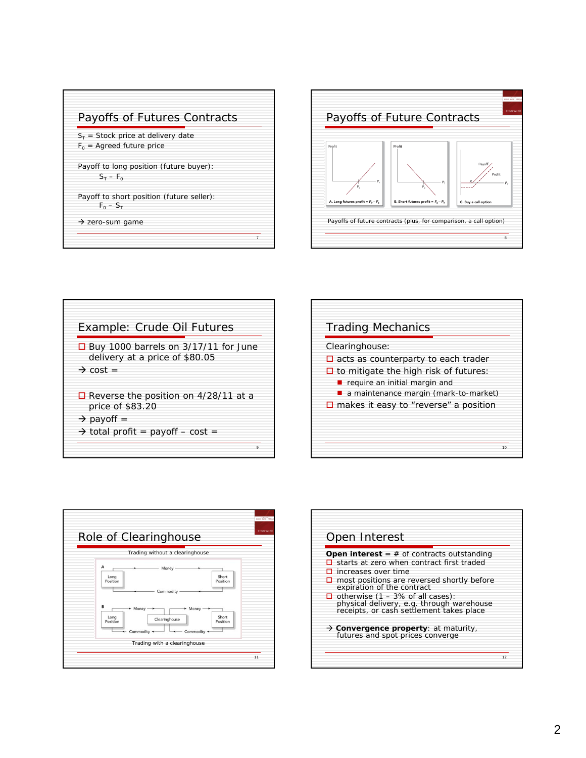





| <b>Trading Mechanics</b>                                                                                                              |    |
|---------------------------------------------------------------------------------------------------------------------------------------|----|
| Clearinghouse:<br>$\Box$ acts as counterparty to each trader                                                                          |    |
| $\Box$ to mitigate the high risk of futures:<br>$\blacksquare$ require an initial margin and<br>a maintenance margin (mark-to-market) |    |
| $\square$ makes it easy to "reverse" a position                                                                                       |    |
|                                                                                                                                       | 10 |



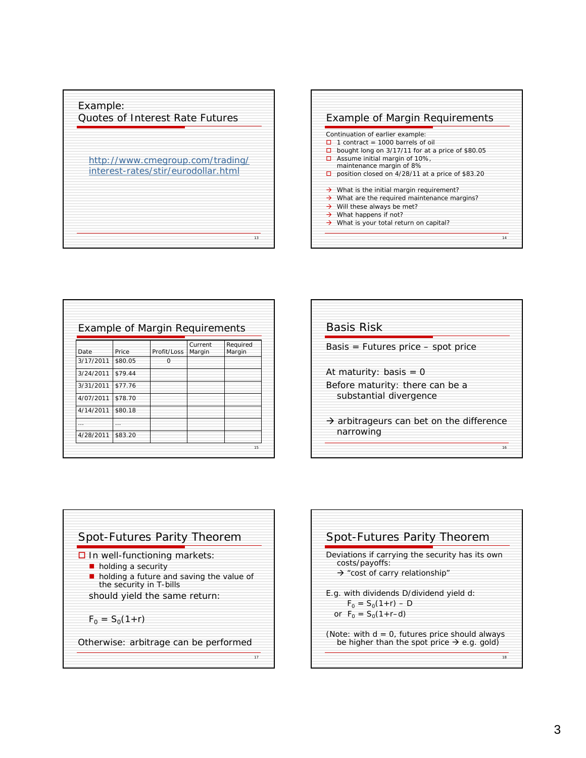



| <b>Example of Margin Requirements</b> |         |             |                   |                    |  |  |  |
|---------------------------------------|---------|-------------|-------------------|--------------------|--|--|--|
| Date                                  | Price   | Profit/Loss | Current<br>Margin | Required<br>Margin |  |  |  |
| 3/17/2011                             | \$80.05 | $\Omega$    |                   |                    |  |  |  |
| 3/24/2011                             | \$79.44 |             |                   |                    |  |  |  |
| 3/31/2011                             | \$77.76 |             |                   |                    |  |  |  |
| 4/07/2011                             | \$78.70 |             |                   |                    |  |  |  |
| 4/14/2011                             | \$80.18 |             |                   |                    |  |  |  |
|                                       |         |             |                   |                    |  |  |  |